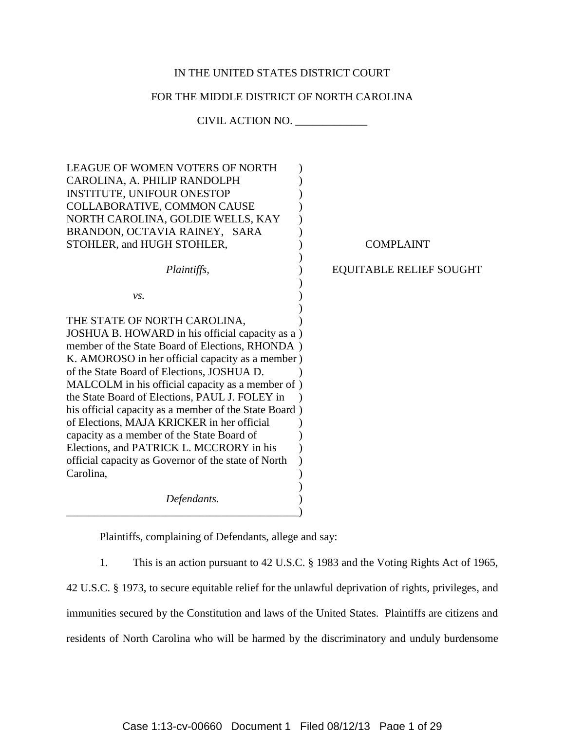# IN THE UNITED STATES DISTRICT COURT

# FOR THE MIDDLE DISTRICT OF NORTH CAROLINA

CIVIL ACTION NO. \_\_\_\_\_\_\_\_\_\_\_\_\_

| <b>LEAGUE OF WOMEN VOTERS OF NORTH</b><br>CAROLINA, A. PHILIP RANDOLPH<br><b>INSTITUTE, UNIFOUR ONESTOP</b><br><b>COLLABORATIVE, COMMON CAUSE</b><br>NORTH CAROLINA, GOLDIE WELLS, KAY<br>BRANDON, OCTAVIA RAINEY, SARA<br>STOHLER, and HUGH STOHLER,                                                                                                                                                                                                                                                                                                                                                            | <b>COMPLAINT</b>               |
|------------------------------------------------------------------------------------------------------------------------------------------------------------------------------------------------------------------------------------------------------------------------------------------------------------------------------------------------------------------------------------------------------------------------------------------------------------------------------------------------------------------------------------------------------------------------------------------------------------------|--------------------------------|
| Plaintiffs,                                                                                                                                                                                                                                                                                                                                                                                                                                                                                                                                                                                                      | <b>EQUITABLE RELIEF SOUGHT</b> |
| vs.                                                                                                                                                                                                                                                                                                                                                                                                                                                                                                                                                                                                              |                                |
| THE STATE OF NORTH CAROLINA,<br>JOSHUA B. HOWARD in his official capacity as a)<br>member of the State Board of Elections, RHONDA)<br>K. AMOROSO in her official capacity as a member)<br>of the State Board of Elections, JOSHUA D.<br>MALCOLM in his official capacity as a member of )<br>the State Board of Elections, PAUL J. FOLEY in<br>his official capacity as a member of the State Board)<br>of Elections, MAJA KRICKER in her official<br>capacity as a member of the State Board of<br>Elections, and PATRICK L. MCCRORY in his<br>official capacity as Governor of the state of North<br>Carolina, |                                |
| Defendants.                                                                                                                                                                                                                                                                                                                                                                                                                                                                                                                                                                                                      |                                |

Plaintiffs, complaining of Defendants, allege and say:

1. This is an action pursuant to 42 U.S.C. § 1983 and the Voting Rights Act of 1965,

42 U.S.C. § 1973, to secure equitable relief for the unlawful deprivation of rights, privileges, and immunities secured by the Constitution and laws of the United States. Plaintiffs are citizens and residents of North Carolina who will be harmed by the discriminatory and unduly burdensome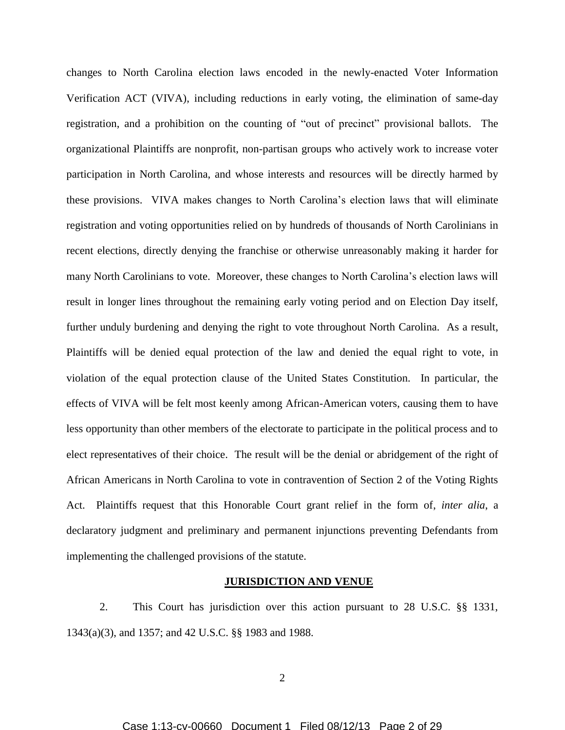changes to North Carolina election laws encoded in the newly-enacted Voter Information Verification ACT (VIVA), including reductions in early voting, the elimination of same-day registration, and a prohibition on the counting of "out of precinct" provisional ballots. The organizational Plaintiffs are nonprofit, non-partisan groups who actively work to increase voter participation in North Carolina, and whose interests and resources will be directly harmed by these provisions. VIVA makes changes to North Carolina's election laws that will eliminate registration and voting opportunities relied on by hundreds of thousands of North Carolinians in recent elections, directly denying the franchise or otherwise unreasonably making it harder for many North Carolinians to vote. Moreover, these changes to North Carolina's election laws will result in longer lines throughout the remaining early voting period and on Election Day itself, further unduly burdening and denying the right to vote throughout North Carolina. As a result, Plaintiffs will be denied equal protection of the law and denied the equal right to vote, in violation of the equal protection clause of the United States Constitution. In particular, the effects of VIVA will be felt most keenly among African-American voters, causing them to have less opportunity than other members of the electorate to participate in the political process and to elect representatives of their choice. The result will be the denial or abridgement of the right of African Americans in North Carolina to vote in contravention of Section 2 of the Voting Rights Act. Plaintiffs request that this Honorable Court grant relief in the form of, *inter alia*, a declaratory judgment and preliminary and permanent injunctions preventing Defendants from implementing the challenged provisions of the statute.

### **JURISDICTION AND VENUE**

2. This Court has jurisdiction over this action pursuant to 28 U.S.C. §§ 1331, 1343(a)(3), and 1357; and 42 U.S.C. §§ 1983 and 1988.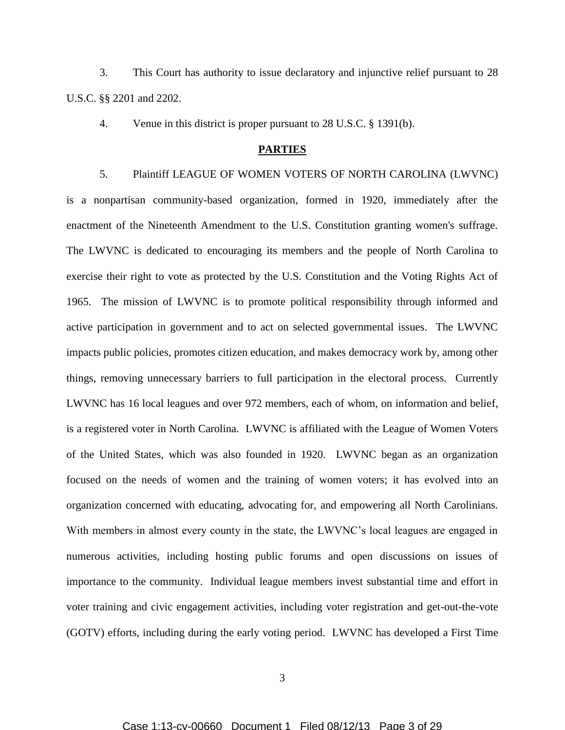3. This Court has authority to issue declaratory and injunctive relief pursuant to 28 U.S.C. §§ 2201 and 2202.

4. Venue in this district is proper pursuant to 28 U.S.C. § 1391(b).

# **PARTIES**

5. Plaintiff LEAGUE OF WOMEN VOTERS OF NORTH CAROLINA (LWVNC) is a nonpartisan community-based organization, formed in 1920, immediately after the enactment of the Nineteenth Amendment to the U.S. Constitution granting women's suffrage. The LWVNC is dedicated to encouraging its members and the people of North Carolina to exercise their right to vote as protected by the U.S. Constitution and the Voting Rights Act of 1965. The mission of LWVNC is to promote political responsibility through informed and active participation in government and to act on selected governmental issues. The LWVNC impacts public policies, promotes citizen education, and makes democracy work by, among other things, removing unnecessary barriers to full participation in the electoral process. Currently LWVNC has 16 local leagues and over 972 members, each of whom, on information and belief, is a registered voter in North Carolina. LWVNC is affiliated with the League of Women Voters of the United States, which was also founded in 1920. LWVNC began as an organization focused on the needs of women and the training of women voters; it has evolved into an organization concerned with educating, advocating for, and empowering all North Carolinians. With members in almost every county in the state, the LWVNC's local leagues are engaged in numerous activities, including hosting public forums and open discussions on issues of importance to the community. Individual league members invest substantial time and effort in voter training and civic engagement activities, including voter registration and get-out-the-vote (GOTV) efforts, including during the early voting period. LWVNC has developed a First Time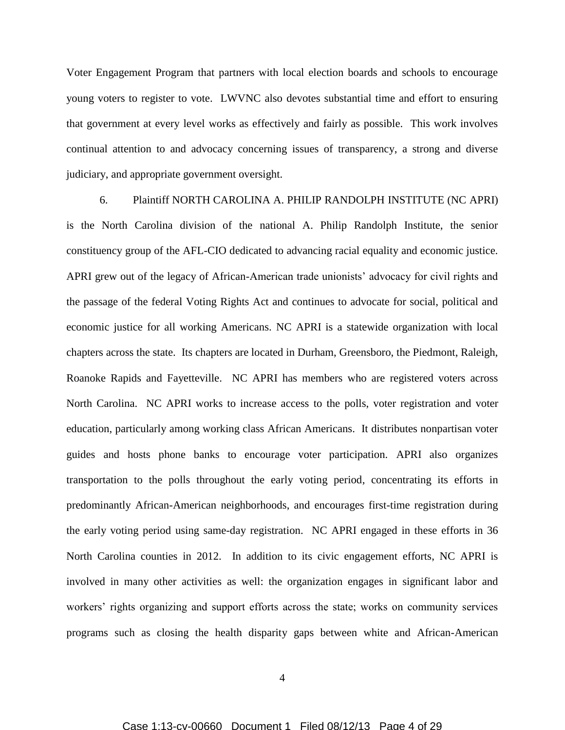Voter Engagement Program that partners with local election boards and schools to encourage young voters to register to vote. LWVNC also devotes substantial time and effort to ensuring that government at every level works as effectively and fairly as possible. This work involves continual attention to and advocacy concerning issues of transparency, a strong and diverse judiciary, and appropriate government oversight.

6. Plaintiff NORTH CAROLINA A. PHILIP RANDOLPH INSTITUTE (NC APRI) is the North Carolina division of the national A. Philip Randolph Institute, the senior constituency group of the AFL-CIO dedicated to advancing racial equality and economic justice. APRI grew out of the legacy of African-American trade unionists' advocacy for civil rights and the passage of the federal Voting Rights Act and continues to advocate for social, political and economic justice for all working Americans. NC APRI is a statewide organization with local chapters across the state. Its chapters are located in Durham, Greensboro, the Piedmont, Raleigh, Roanoke Rapids and Fayetteville. NC APRI has members who are registered voters across North Carolina. NC APRI works to increase access to the polls, voter registration and voter education, particularly among working class African Americans. It distributes nonpartisan voter guides and hosts phone banks to encourage voter participation. APRI also organizes transportation to the polls throughout the early voting period, concentrating its efforts in predominantly African-American neighborhoods, and encourages first-time registration during the early voting period using same-day registration. NC APRI engaged in these efforts in 36 North Carolina counties in 2012. In addition to its civic engagement efforts, NC APRI is involved in many other activities as well: the organization engages in significant labor and workers' rights organizing and support efforts across the state; works on community services programs such as closing the health disparity gaps between white and African-American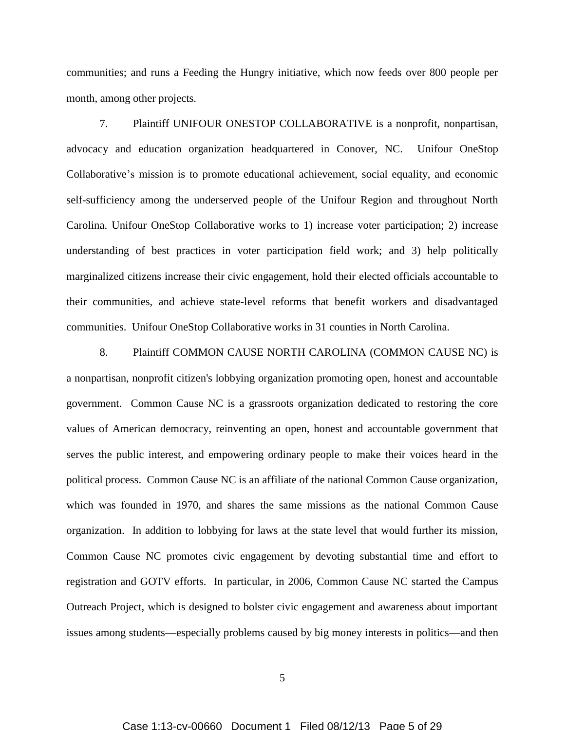communities; and runs a Feeding the Hungry initiative, which now feeds over 800 people per month, among other projects.

7. Plaintiff UNIFOUR ONESTOP COLLABORATIVE is a nonprofit, nonpartisan, advocacy and education organization headquartered in Conover, NC. Unifour OneStop Collaborative's mission is to promote educational achievement, social equality, and economic self-sufficiency among the underserved people of the Unifour Region and throughout North Carolina. Unifour OneStop Collaborative works to 1) increase voter participation; 2) increase understanding of best practices in voter participation field work; and 3) help politically marginalized citizens increase their civic engagement, hold their elected officials accountable to their communities, and achieve state-level reforms that benefit workers and disadvantaged communities. Unifour OneStop Collaborative works in 31 counties in North Carolina.

8. Plaintiff COMMON CAUSE NORTH CAROLINA (COMMON CAUSE NC) is a nonpartisan, nonprofit citizen's lobbying organization promoting open, honest and accountable government. Common Cause NC is a grassroots organization dedicated to restoring the core values of American democracy, reinventing an open, honest and accountable government that serves the public interest, and empowering ordinary people to make their voices heard in the political process. Common Cause NC is an affiliate of the national Common Cause organization, which was founded in 1970, and shares the same missions as the national Common Cause organization. In addition to lobbying for laws at the state level that would further its mission, Common Cause NC promotes civic engagement by devoting substantial time and effort to registration and GOTV efforts. In particular, in 2006, Common Cause NC started the Campus Outreach Project, which is designed to bolster civic engagement and awareness about important issues among students—especially problems caused by big money interests in politics—and then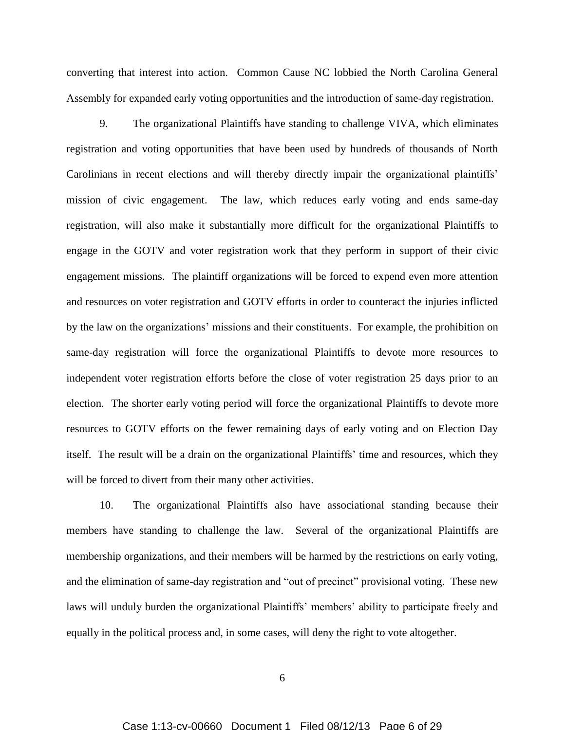converting that interest into action. Common Cause NC lobbied the North Carolina General Assembly for expanded early voting opportunities and the introduction of same-day registration.

9. The organizational Plaintiffs have standing to challenge VIVA, which eliminates registration and voting opportunities that have been used by hundreds of thousands of North Carolinians in recent elections and will thereby directly impair the organizational plaintiffs' mission of civic engagement. The law, which reduces early voting and ends same-day registration, will also make it substantially more difficult for the organizational Plaintiffs to engage in the GOTV and voter registration work that they perform in support of their civic engagement missions. The plaintiff organizations will be forced to expend even more attention and resources on voter registration and GOTV efforts in order to counteract the injuries inflicted by the law on the organizations' missions and their constituents. For example, the prohibition on same-day registration will force the organizational Plaintiffs to devote more resources to independent voter registration efforts before the close of voter registration 25 days prior to an election. The shorter early voting period will force the organizational Plaintiffs to devote more resources to GOTV efforts on the fewer remaining days of early voting and on Election Day itself. The result will be a drain on the organizational Plaintiffs' time and resources, which they will be forced to divert from their many other activities.

10. The organizational Plaintiffs also have associational standing because their members have standing to challenge the law. Several of the organizational Plaintiffs are membership organizations, and their members will be harmed by the restrictions on early voting, and the elimination of same-day registration and "out of precinct" provisional voting. These new laws will unduly burden the organizational Plaintiffs' members' ability to participate freely and equally in the political process and, in some cases, will deny the right to vote altogether.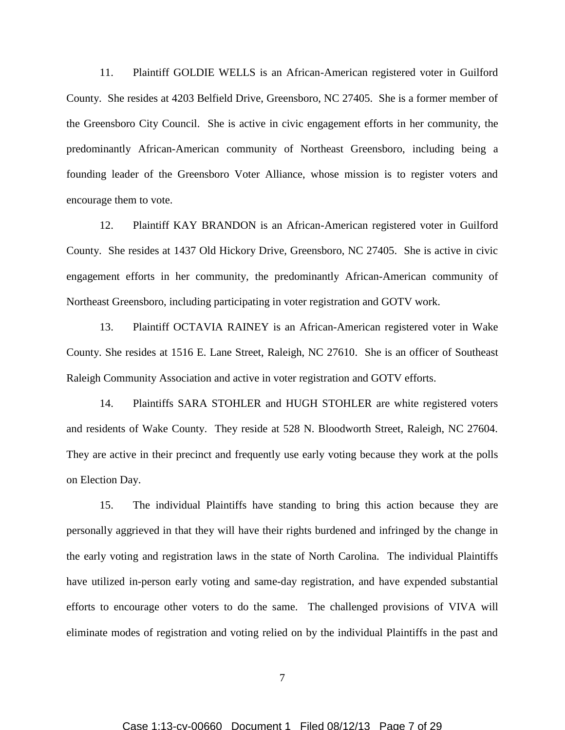11. Plaintiff GOLDIE WELLS is an African-American registered voter in Guilford County. She resides at 4203 Belfield Drive, Greensboro, NC 27405. She is a former member of the Greensboro City Council. She is active in civic engagement efforts in her community, the predominantly African-American community of Northeast Greensboro, including being a founding leader of the Greensboro Voter Alliance, whose mission is to register voters and encourage them to vote.

12. Plaintiff KAY BRANDON is an African-American registered voter in Guilford County. She resides at 1437 Old Hickory Drive, Greensboro, NC 27405. She is active in civic engagement efforts in her community, the predominantly African-American community of Northeast Greensboro, including participating in voter registration and GOTV work.

13. Plaintiff OCTAVIA RAINEY is an African-American registered voter in Wake County. She resides at 1516 E. Lane Street, Raleigh, NC 27610. She is an officer of Southeast Raleigh Community Association and active in voter registration and GOTV efforts.

14. Plaintiffs SARA STOHLER and HUGH STOHLER are white registered voters and residents of Wake County. They reside at 528 N. Bloodworth Street, Raleigh, NC 27604. They are active in their precinct and frequently use early voting because they work at the polls on Election Day.

15. The individual Plaintiffs have standing to bring this action because they are personally aggrieved in that they will have their rights burdened and infringed by the change in the early voting and registration laws in the state of North Carolina. The individual Plaintiffs have utilized in-person early voting and same-day registration, and have expended substantial efforts to encourage other voters to do the same. The challenged provisions of VIVA will eliminate modes of registration and voting relied on by the individual Plaintiffs in the past and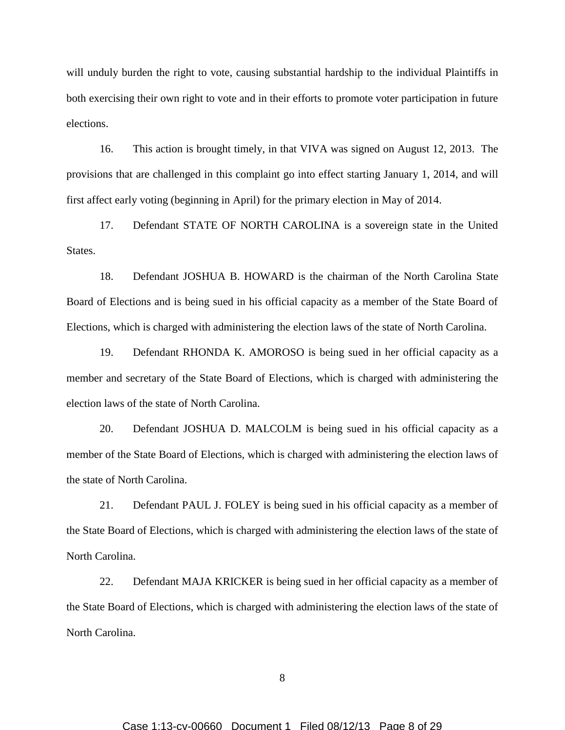will unduly burden the right to vote, causing substantial hardship to the individual Plaintiffs in both exercising their own right to vote and in their efforts to promote voter participation in future elections.

16. This action is brought timely, in that VIVA was signed on August 12, 2013. The provisions that are challenged in this complaint go into effect starting January 1, 2014, and will first affect early voting (beginning in April) for the primary election in May of 2014.

17. Defendant STATE OF NORTH CAROLINA is a sovereign state in the United States.

18. Defendant JOSHUA B. HOWARD is the chairman of the North Carolina State Board of Elections and is being sued in his official capacity as a member of the State Board of Elections, which is charged with administering the election laws of the state of North Carolina.

19. Defendant RHONDA K. AMOROSO is being sued in her official capacity as a member and secretary of the State Board of Elections, which is charged with administering the election laws of the state of North Carolina.

20. Defendant JOSHUA D. MALCOLM is being sued in his official capacity as a member of the State Board of Elections, which is charged with administering the election laws of the state of North Carolina.

21. Defendant PAUL J. FOLEY is being sued in his official capacity as a member of the State Board of Elections, which is charged with administering the election laws of the state of North Carolina.

22. Defendant MAJA KRICKER is being sued in her official capacity as a member of the State Board of Elections, which is charged with administering the election laws of the state of North Carolina.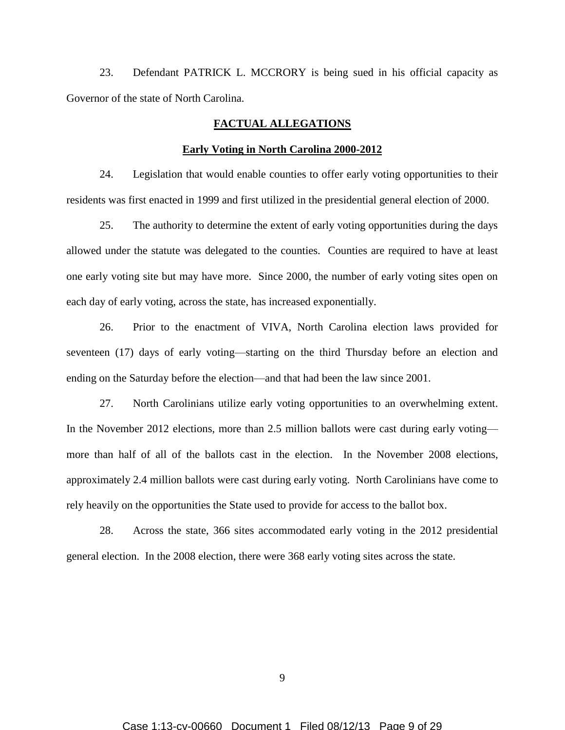23. Defendant PATRICK L. MCCRORY is being sued in his official capacity as Governor of the state of North Carolina.

# **FACTUAL ALLEGATIONS**

### **Early Voting in North Carolina 2000-2012**

24. Legislation that would enable counties to offer early voting opportunities to their residents was first enacted in 1999 and first utilized in the presidential general election of 2000.

25. The authority to determine the extent of early voting opportunities during the days allowed under the statute was delegated to the counties. Counties are required to have at least one early voting site but may have more. Since 2000, the number of early voting sites open on each day of early voting, across the state, has increased exponentially.

26. Prior to the enactment of VIVA, North Carolina election laws provided for seventeen (17) days of early voting—starting on the third Thursday before an election and ending on the Saturday before the election—and that had been the law since 2001.

27. North Carolinians utilize early voting opportunities to an overwhelming extent. In the November 2012 elections, more than 2.5 million ballots were cast during early voting more than half of all of the ballots cast in the election. In the November 2008 elections, approximately 2.4 million ballots were cast during early voting. North Carolinians have come to rely heavily on the opportunities the State used to provide for access to the ballot box.

28. Across the state, 366 sites accommodated early voting in the 2012 presidential general election. In the 2008 election, there were 368 early voting sites across the state.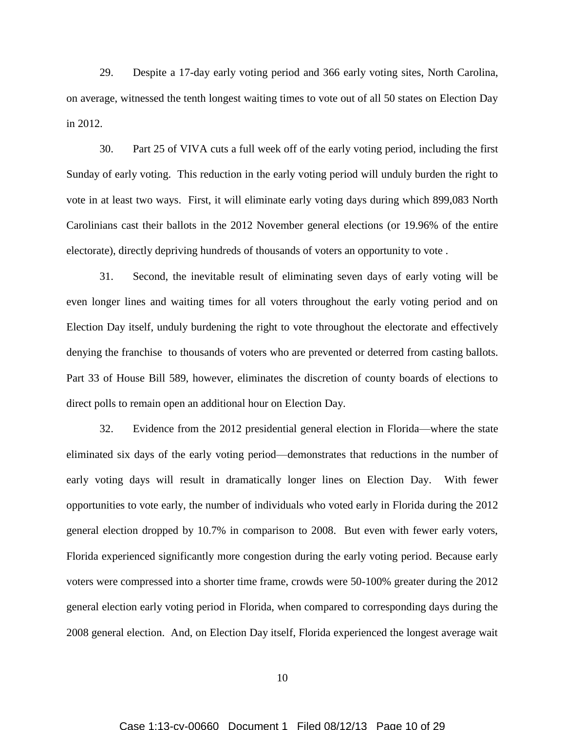29. Despite a 17-day early voting period and 366 early voting sites, North Carolina, on average, witnessed the tenth longest waiting times to vote out of all 50 states on Election Day in 2012.

30. Part 25 of VIVA cuts a full week off of the early voting period, including the first Sunday of early voting. This reduction in the early voting period will unduly burden the right to vote in at least two ways. First, it will eliminate early voting days during which 899,083 North Carolinians cast their ballots in the 2012 November general elections (or 19.96% of the entire electorate), directly depriving hundreds of thousands of voters an opportunity to vote .

31. Second, the inevitable result of eliminating seven days of early voting will be even longer lines and waiting times for all voters throughout the early voting period and on Election Day itself, unduly burdening the right to vote throughout the electorate and effectively denying the franchise to thousands of voters who are prevented or deterred from casting ballots. Part 33 of House Bill 589, however, eliminates the discretion of county boards of elections to direct polls to remain open an additional hour on Election Day.

32. Evidence from the 2012 presidential general election in Florida—where the state eliminated six days of the early voting period—demonstrates that reductions in the number of early voting days will result in dramatically longer lines on Election Day. With fewer opportunities to vote early, the number of individuals who voted early in Florida during the 2012 general election dropped by 10.7% in comparison to 2008. But even with fewer early voters, Florida experienced significantly more congestion during the early voting period. Because early voters were compressed into a shorter time frame, crowds were 50-100% greater during the 2012 general election early voting period in Florida, when compared to corresponding days during the 2008 general election. And, on Election Day itself, Florida experienced the longest average wait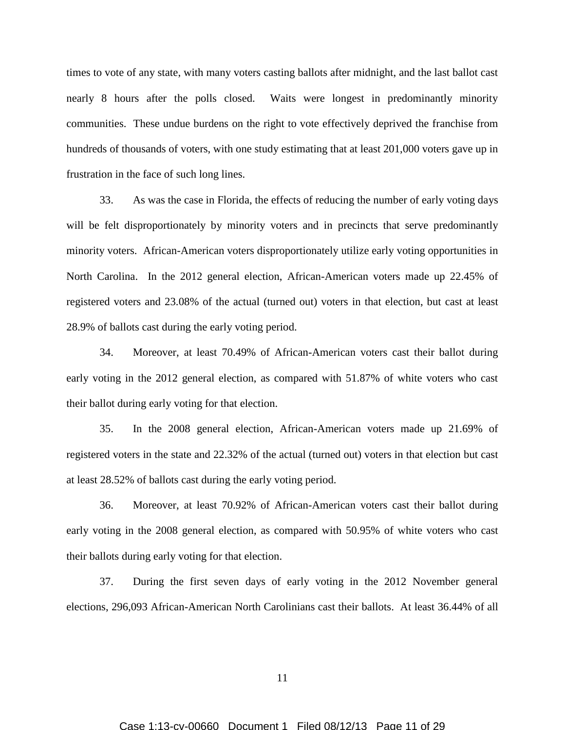times to vote of any state, with many voters casting ballots after midnight, and the last ballot cast nearly 8 hours after the polls closed. Waits were longest in predominantly minority communities. These undue burdens on the right to vote effectively deprived the franchise from hundreds of thousands of voters, with one study estimating that at least 201,000 voters gave up in frustration in the face of such long lines.

33. As was the case in Florida, the effects of reducing the number of early voting days will be felt disproportionately by minority voters and in precincts that serve predominantly minority voters. African-American voters disproportionately utilize early voting opportunities in North Carolina. In the 2012 general election, African-American voters made up 22.45% of registered voters and 23.08% of the actual (turned out) voters in that election, but cast at least 28.9% of ballots cast during the early voting period.

34. Moreover, at least 70.49% of African-American voters cast their ballot during early voting in the 2012 general election, as compared with 51.87% of white voters who cast their ballot during early voting for that election.

35. In the 2008 general election, African-American voters made up 21.69% of registered voters in the state and 22.32% of the actual (turned out) voters in that election but cast at least 28.52% of ballots cast during the early voting period.

36. Moreover, at least 70.92% of African-American voters cast their ballot during early voting in the 2008 general election, as compared with 50.95% of white voters who cast their ballots during early voting for that election.

37. During the first seven days of early voting in the 2012 November general elections, 296,093 African-American North Carolinians cast their ballots. At least 36.44% of all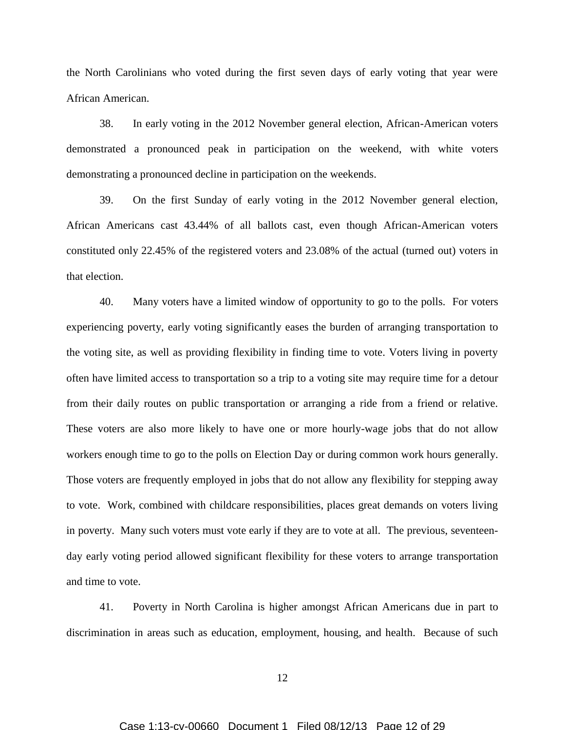the North Carolinians who voted during the first seven days of early voting that year were African American.

38. In early voting in the 2012 November general election, African-American voters demonstrated a pronounced peak in participation on the weekend, with white voters demonstrating a pronounced decline in participation on the weekends.

39. On the first Sunday of early voting in the 2012 November general election, African Americans cast 43.44% of all ballots cast, even though African-American voters constituted only 22.45% of the registered voters and 23.08% of the actual (turned out) voters in that election.

40. Many voters have a limited window of opportunity to go to the polls. For voters experiencing poverty, early voting significantly eases the burden of arranging transportation to the voting site, as well as providing flexibility in finding time to vote. Voters living in poverty often have limited access to transportation so a trip to a voting site may require time for a detour from their daily routes on public transportation or arranging a ride from a friend or relative. These voters are also more likely to have one or more hourly-wage jobs that do not allow workers enough time to go to the polls on Election Day or during common work hours generally. Those voters are frequently employed in jobs that do not allow any flexibility for stepping away to vote. Work, combined with childcare responsibilities, places great demands on voters living in poverty. Many such voters must vote early if they are to vote at all. The previous, seventeenday early voting period allowed significant flexibility for these voters to arrange transportation and time to vote.

41. Poverty in North Carolina is higher amongst African Americans due in part to discrimination in areas such as education, employment, housing, and health. Because of such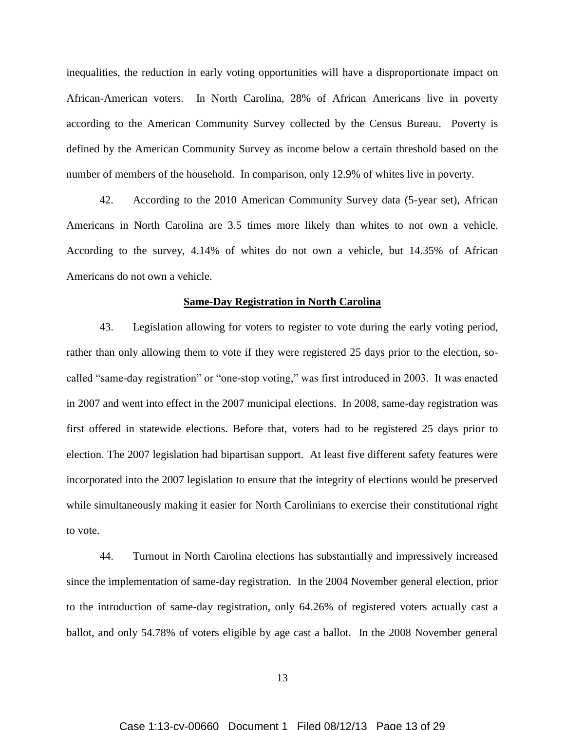inequalities, the reduction in early voting opportunities will have a disproportionate impact on African-American voters. In North Carolina, 28% of African Americans live in poverty according to the American Community Survey collected by the Census Bureau. Poverty is defined by the American Community Survey as income below a certain threshold based on the number of members of the household. In comparison, only 12.9% of whites live in poverty.

42. According to the 2010 American Community Survey data (5-year set), African Americans in North Carolina are 3.5 times more likely than whites to not own a vehicle. According to the survey, 4.14% of whites do not own a vehicle, but 14.35% of African Americans do not own a vehicle.

### **Same-Day Registration in North Carolina**

43. Legislation allowing for voters to register to vote during the early voting period, rather than only allowing them to vote if they were registered 25 days prior to the election, socalled "same-day registration" or "one-stop voting," was first introduced in 2003. It was enacted in 2007 and went into effect in the 2007 municipal elections. In 2008, same-day registration was first offered in statewide elections. Before that, voters had to be registered 25 days prior to election. The 2007 legislation had bipartisan support. At least five different safety features were incorporated into the 2007 legislation to ensure that the integrity of elections would be preserved while simultaneously making it easier for North Carolinians to exercise their constitutional right to vote.

44. Turnout in North Carolina elections has substantially and impressively increased since the implementation of same-day registration. In the 2004 November general election, prior to the introduction of same-day registration, only 64.26% of registered voters actually cast a ballot, and only 54.78% of voters eligible by age cast a ballot. In the 2008 November general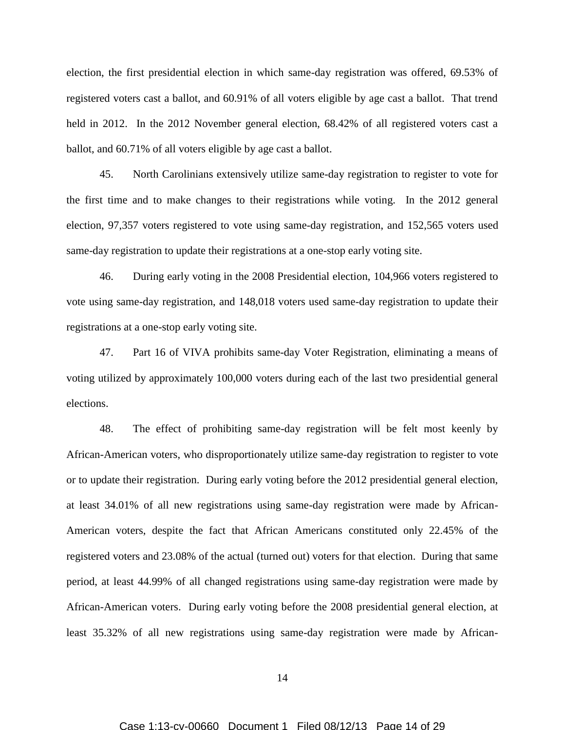election, the first presidential election in which same-day registration was offered, 69.53% of registered voters cast a ballot, and 60.91% of all voters eligible by age cast a ballot. That trend held in 2012. In the 2012 November general election, 68.42% of all registered voters cast a ballot, and 60.71% of all voters eligible by age cast a ballot.

45. North Carolinians extensively utilize same-day registration to register to vote for the first time and to make changes to their registrations while voting. In the 2012 general election, 97,357 voters registered to vote using same-day registration, and 152,565 voters used same-day registration to update their registrations at a one-stop early voting site.

46. During early voting in the 2008 Presidential election, 104,966 voters registered to vote using same-day registration, and 148,018 voters used same-day registration to update their registrations at a one-stop early voting site.

47. Part 16 of VIVA prohibits same-day Voter Registration, eliminating a means of voting utilized by approximately 100,000 voters during each of the last two presidential general elections.

48. The effect of prohibiting same-day registration will be felt most keenly by African-American voters, who disproportionately utilize same-day registration to register to vote or to update their registration. During early voting before the 2012 presidential general election, at least 34.01% of all new registrations using same-day registration were made by African-American voters, despite the fact that African Americans constituted only 22.45% of the registered voters and 23.08% of the actual (turned out) voters for that election. During that same period, at least 44.99% of all changed registrations using same-day registration were made by African-American voters. During early voting before the 2008 presidential general election, at least 35.32% of all new registrations using same-day registration were made by African-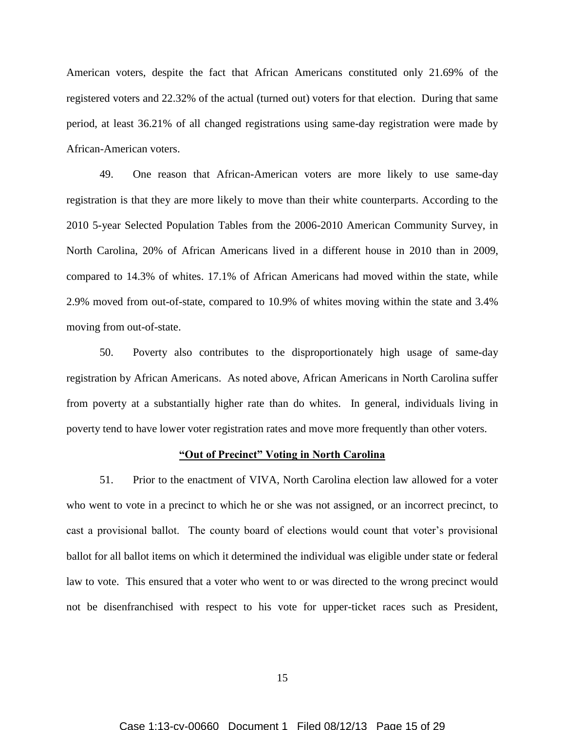American voters, despite the fact that African Americans constituted only 21.69% of the registered voters and 22.32% of the actual (turned out) voters for that election. During that same period, at least 36.21% of all changed registrations using same-day registration were made by African-American voters.

49. One reason that African-American voters are more likely to use same-day registration is that they are more likely to move than their white counterparts. According to the 2010 5-year Selected Population Tables from the 2006-2010 American Community Survey, in North Carolina, 20% of African Americans lived in a different house in 2010 than in 2009, compared to 14.3% of whites. 17.1% of African Americans had moved within the state, while 2.9% moved from out-of-state, compared to 10.9% of whites moving within the state and 3.4% moving from out-of-state.

50. Poverty also contributes to the disproportionately high usage of same-day registration by African Americans. As noted above, African Americans in North Carolina suffer from poverty at a substantially higher rate than do whites. In general, individuals living in poverty tend to have lower voter registration rates and move more frequently than other voters.

### **"Out of Precinct" Voting in North Carolina**

51. Prior to the enactment of VIVA, North Carolina election law allowed for a voter who went to vote in a precinct to which he or she was not assigned, or an incorrect precinct, to cast a provisional ballot. The county board of elections would count that voter's provisional ballot for all ballot items on which it determined the individual was eligible under state or federal law to vote. This ensured that a voter who went to or was directed to the wrong precinct would not be disenfranchised with respect to his vote for upper-ticket races such as President,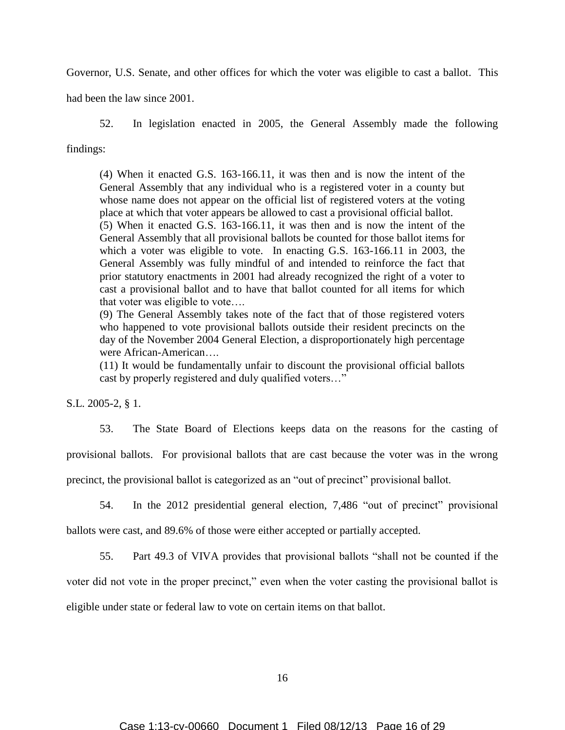Governor, U.S. Senate, and other offices for which the voter was eligible to cast a ballot. This

had been the law since 2001.

52. In legislation enacted in 2005, the General Assembly made the following

findings:

(4) When it enacted G.S. 163-166.11, it was then and is now the intent of the General Assembly that any individual who is a registered voter in a county but whose name does not appear on the official list of registered voters at the voting place at which that voter appears be allowed to cast a provisional official ballot. (5) When it enacted G.S. 163-166.11, it was then and is now the intent of the General Assembly that all provisional ballots be counted for those ballot items for which a voter was eligible to vote. In enacting G.S. 163-166.11 in 2003, the General Assembly was fully mindful of and intended to reinforce the fact that prior statutory enactments in 2001 had already recognized the right of a voter to cast a provisional ballot and to have that ballot counted for all items for which that voter was eligible to vote….

(9) The General Assembly takes note of the fact that of those registered voters who happened to vote provisional ballots outside their resident precincts on the day of the November 2004 General Election, a disproportionately high percentage were African-American….

(11) It would be fundamentally unfair to discount the provisional official ballots cast by properly registered and duly qualified voters…"

S.L. 2005-2, § 1.

53. The State Board of Elections keeps data on the reasons for the casting of provisional ballots. For provisional ballots that are cast because the voter was in the wrong precinct, the provisional ballot is categorized as an "out of precinct" provisional ballot.

54. In the 2012 presidential general election, 7,486 "out of precinct" provisional

ballots were cast, and 89.6% of those were either accepted or partially accepted.

55. Part 49.3 of VIVA provides that provisional ballots "shall not be counted if the voter did not vote in the proper precinct," even when the voter casting the provisional ballot is eligible under state or federal law to vote on certain items on that ballot.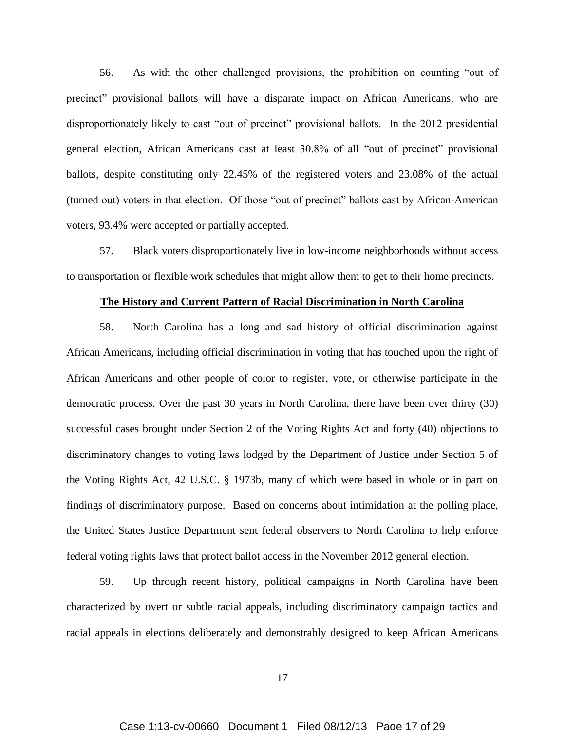56. As with the other challenged provisions, the prohibition on counting "out of precinct" provisional ballots will have a disparate impact on African Americans, who are disproportionately likely to cast "out of precinct" provisional ballots. In the 2012 presidential general election, African Americans cast at least 30.8% of all "out of precinct" provisional ballots, despite constituting only 22.45% of the registered voters and 23.08% of the actual (turned out) voters in that election. Of those "out of precinct" ballots cast by African-American voters, 93.4% were accepted or partially accepted.

57. Black voters disproportionately live in low-income neighborhoods without access to transportation or flexible work schedules that might allow them to get to their home precincts.

### **The History and Current Pattern of Racial Discrimination in North Carolina**

58. North Carolina has a long and sad history of official discrimination against African Americans, including official discrimination in voting that has touched upon the right of African Americans and other people of color to register, vote, or otherwise participate in the democratic process. Over the past 30 years in North Carolina, there have been over thirty (30) successful cases brought under Section 2 of the Voting Rights Act and forty (40) objections to discriminatory changes to voting laws lodged by the Department of Justice under Section 5 of the Voting Rights Act, 42 U.S.C. § 1973b, many of which were based in whole or in part on findings of discriminatory purpose. Based on concerns about intimidation at the polling place, the United States Justice Department sent federal observers to North Carolina to help enforce federal voting rights laws that protect ballot access in the November 2012 general election.

59. Up through recent history, political campaigns in North Carolina have been characterized by overt or subtle racial appeals, including discriminatory campaign tactics and racial appeals in elections deliberately and demonstrably designed to keep African Americans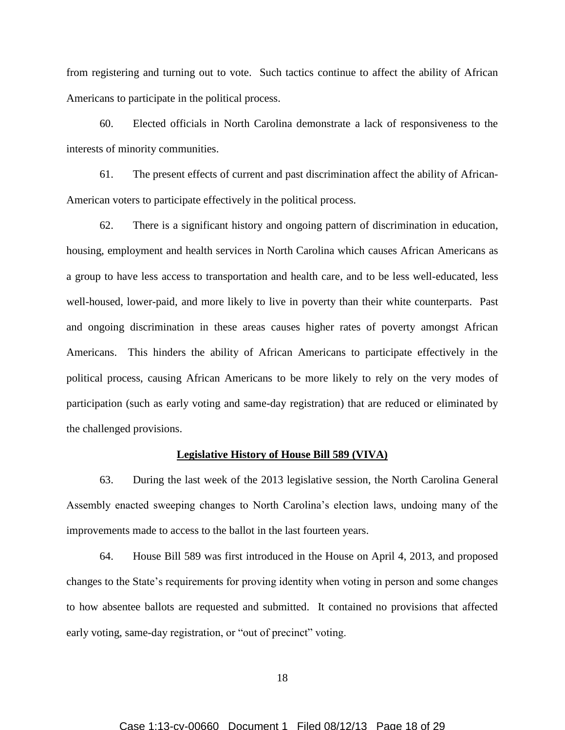from registering and turning out to vote. Such tactics continue to affect the ability of African Americans to participate in the political process.

60. Elected officials in North Carolina demonstrate a lack of responsiveness to the interests of minority communities.

61. The present effects of current and past discrimination affect the ability of African-American voters to participate effectively in the political process.

62. There is a significant history and ongoing pattern of discrimination in education, housing, employment and health services in North Carolina which causes African Americans as a group to have less access to transportation and health care, and to be less well-educated, less well-housed, lower-paid, and more likely to live in poverty than their white counterparts. Past and ongoing discrimination in these areas causes higher rates of poverty amongst African Americans. This hinders the ability of African Americans to participate effectively in the political process, causing African Americans to be more likely to rely on the very modes of participation (such as early voting and same-day registration) that are reduced or eliminated by the challenged provisions.

# **Legislative History of House Bill 589 (VIVA)**

63. During the last week of the 2013 legislative session, the North Carolina General Assembly enacted sweeping changes to North Carolina's election laws, undoing many of the improvements made to access to the ballot in the last fourteen years.

64. House Bill 589 was first introduced in the House on April 4, 2013, and proposed changes to the State's requirements for proving identity when voting in person and some changes to how absentee ballots are requested and submitted. It contained no provisions that affected early voting, same-day registration, or "out of precinct" voting.

18

#### Case 1:13-cv-00660 Document 1 Filed 08/12/13 Page 18 of 29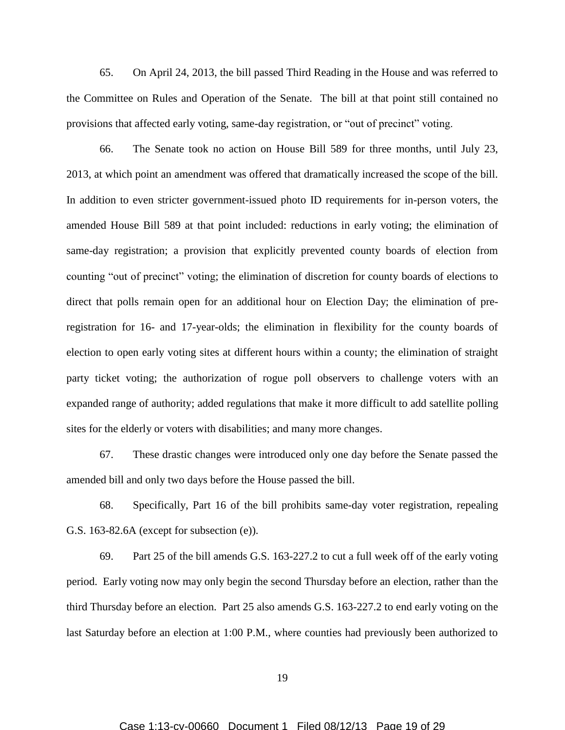65. On April 24, 2013, the bill passed Third Reading in the House and was referred to the Committee on Rules and Operation of the Senate. The bill at that point still contained no provisions that affected early voting, same-day registration, or "out of precinct" voting.

66. The Senate took no action on House Bill 589 for three months, until July 23, 2013, at which point an amendment was offered that dramatically increased the scope of the bill. In addition to even stricter government-issued photo ID requirements for in-person voters, the amended House Bill 589 at that point included: reductions in early voting; the elimination of same-day registration; a provision that explicitly prevented county boards of election from counting "out of precinct" voting; the elimination of discretion for county boards of elections to direct that polls remain open for an additional hour on Election Day; the elimination of preregistration for 16- and 17-year-olds; the elimination in flexibility for the county boards of election to open early voting sites at different hours within a county; the elimination of straight party ticket voting; the authorization of rogue poll observers to challenge voters with an expanded range of authority; added regulations that make it more difficult to add satellite polling sites for the elderly or voters with disabilities; and many more changes.

67. These drastic changes were introduced only one day before the Senate passed the amended bill and only two days before the House passed the bill.

68. Specifically, Part 16 of the bill prohibits same-day voter registration, repealing G.S. 163-82.6A (except for subsection (e)).

69. Part 25 of the bill amends G.S. 163-227.2 to cut a full week off of the early voting period. Early voting now may only begin the second Thursday before an election, rather than the third Thursday before an election. Part 25 also amends G.S. 163-227.2 to end early voting on the last Saturday before an election at 1:00 P.M., where counties had previously been authorized to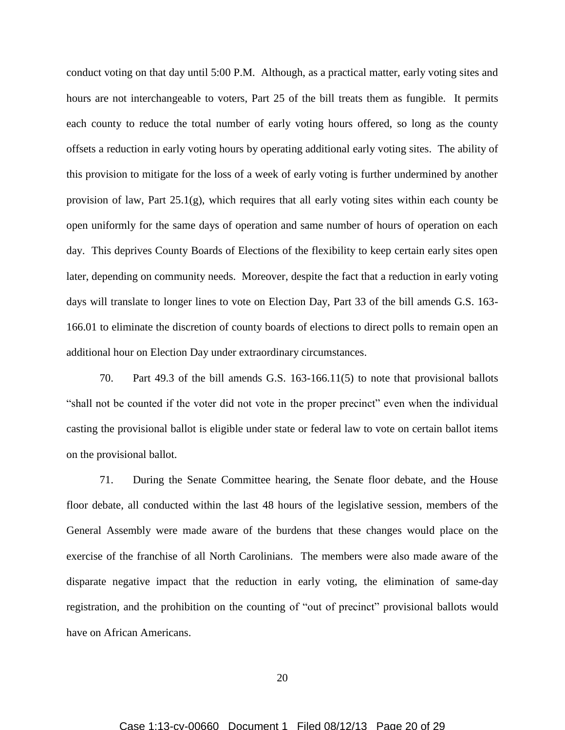conduct voting on that day until 5:00 P.M. Although, as a practical matter, early voting sites and hours are not interchangeable to voters, Part 25 of the bill treats them as fungible. It permits each county to reduce the total number of early voting hours offered, so long as the county offsets a reduction in early voting hours by operating additional early voting sites. The ability of this provision to mitigate for the loss of a week of early voting is further undermined by another provision of law, Part  $25.1(g)$ , which requires that all early voting sites within each county be open uniformly for the same days of operation and same number of hours of operation on each day. This deprives County Boards of Elections of the flexibility to keep certain early sites open later, depending on community needs. Moreover, despite the fact that a reduction in early voting days will translate to longer lines to vote on Election Day, Part 33 of the bill amends G.S. 163- 166.01 to eliminate the discretion of county boards of elections to direct polls to remain open an additional hour on Election Day under extraordinary circumstances.

70. Part 49.3 of the bill amends G.S. 163-166.11(5) to note that provisional ballots "shall not be counted if the voter did not vote in the proper precinct" even when the individual casting the provisional ballot is eligible under state or federal law to vote on certain ballot items on the provisional ballot.

71. During the Senate Committee hearing, the Senate floor debate, and the House floor debate, all conducted within the last 48 hours of the legislative session, members of the General Assembly were made aware of the burdens that these changes would place on the exercise of the franchise of all North Carolinians. The members were also made aware of the disparate negative impact that the reduction in early voting, the elimination of same-day registration, and the prohibition on the counting of "out of precinct" provisional ballots would have on African Americans.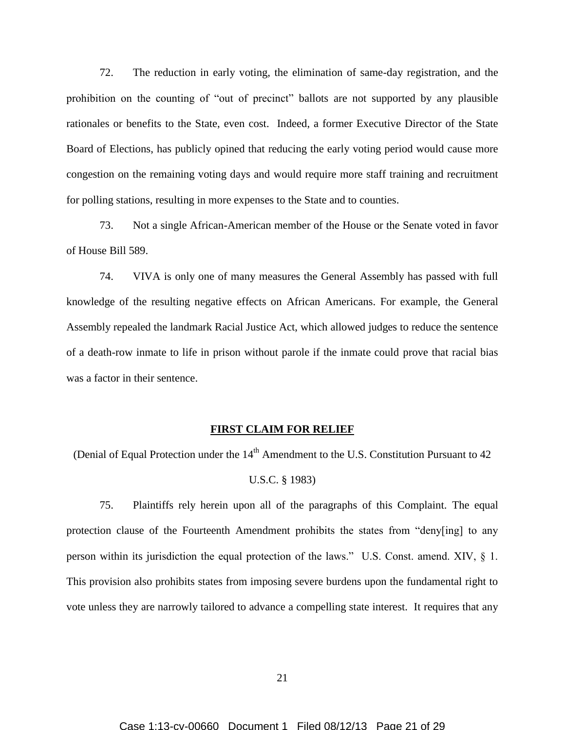72. The reduction in early voting, the elimination of same-day registration, and the prohibition on the counting of "out of precinct" ballots are not supported by any plausible rationales or benefits to the State, even cost. Indeed, a former Executive Director of the State Board of Elections, has publicly opined that reducing the early voting period would cause more congestion on the remaining voting days and would require more staff training and recruitment for polling stations, resulting in more expenses to the State and to counties.

73. Not a single African-American member of the House or the Senate voted in favor of House Bill 589.

74. VIVA is only one of many measures the General Assembly has passed with full knowledge of the resulting negative effects on African Americans. For example, the General Assembly repealed the landmark Racial Justice Act, which allowed judges to reduce the sentence of a death-row inmate to life in prison without parole if the inmate could prove that racial bias was a factor in their sentence.

# **FIRST CLAIM FOR RELIEF**

(Denial of Equal Protection under the  $14<sup>th</sup>$  Amendment to the U.S. Constitution Pursuant to 42

### U.S.C. § 1983)

75. Plaintiffs rely herein upon all of the paragraphs of this Complaint. The equal protection clause of the Fourteenth Amendment prohibits the states from "deny[ing] to any person within its jurisdiction the equal protection of the laws." U.S. Const. amend. XIV, § 1. This provision also prohibits states from imposing severe burdens upon the fundamental right to vote unless they are narrowly tailored to advance a compelling state interest. It requires that any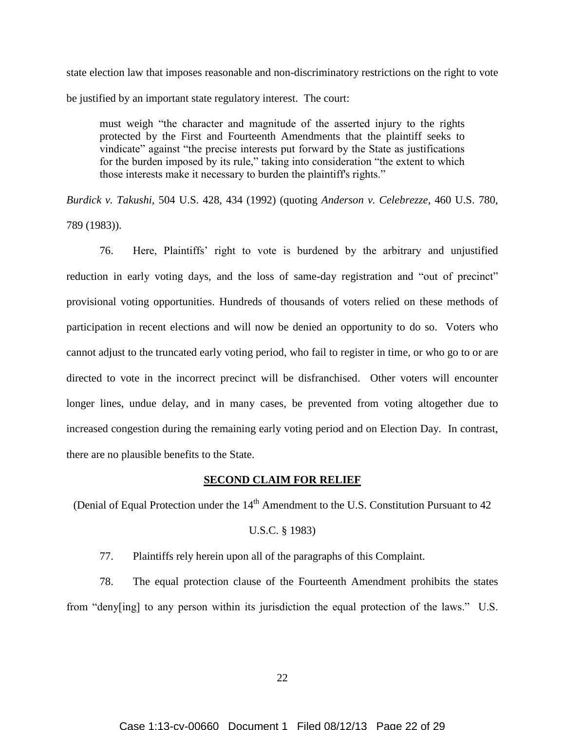state election law that imposes reasonable and non-discriminatory restrictions on the right to vote be justified by an important state regulatory interest. The court:

must weigh "the character and magnitude of the asserted injury to the rights protected by the First and Fourteenth Amendments that the plaintiff seeks to vindicate" against "the precise interests put forward by the State as justifications for the burden imposed by its rule," taking into consideration "the extent to which those interests make it necessary to burden the plaintiff's rights."

*Burdick v. Takushi,* 504 U.S. 428, 434 (1992) (quoting *Anderson v. Celebrezze*, 460 U.S. 780, 789 (1983)).

76. Here, Plaintiffs' right to vote is burdened by the arbitrary and unjustified reduction in early voting days, and the loss of same-day registration and "out of precinct" provisional voting opportunities. Hundreds of thousands of voters relied on these methods of participation in recent elections and will now be denied an opportunity to do so. Voters who cannot adjust to the truncated early voting period, who fail to register in time, or who go to or are directed to vote in the incorrect precinct will be disfranchised. Other voters will encounter longer lines, undue delay, and in many cases, be prevented from voting altogether due to increased congestion during the remaining early voting period and on Election Day. In contrast, there are no plausible benefits to the State.

# **SECOND CLAIM FOR RELIEF**

(Denial of Equal Protection under the  $14<sup>th</sup>$  Amendment to the U.S. Constitution Pursuant to 42

## U.S.C. § 1983)

77. Plaintiffs rely herein upon all of the paragraphs of this Complaint.

78. The equal protection clause of the Fourteenth Amendment prohibits the states from "deny[ing] to any person within its jurisdiction the equal protection of the laws." U.S.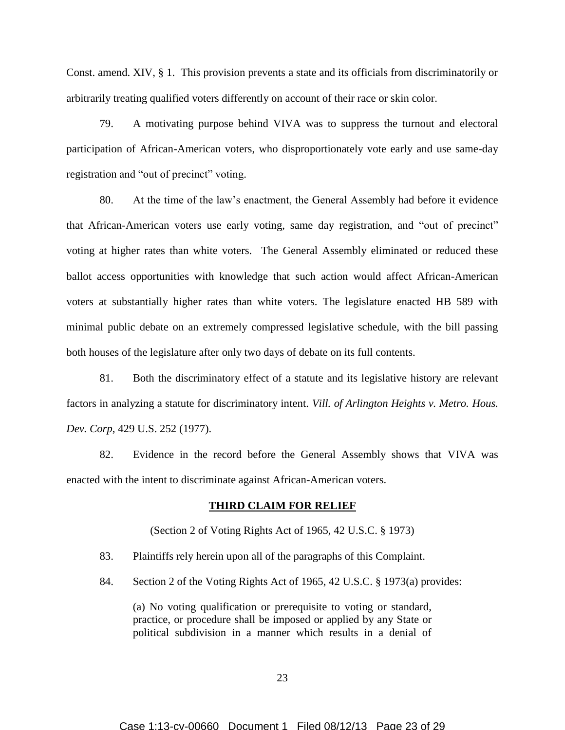Const. amend. XIV, § 1. This provision prevents a state and its officials from discriminatorily or arbitrarily treating qualified voters differently on account of their race or skin color.

79. A motivating purpose behind VIVA was to suppress the turnout and electoral participation of African-American voters, who disproportionately vote early and use same-day registration and "out of precinct" voting.

80. At the time of the law's enactment, the General Assembly had before it evidence that African-American voters use early voting, same day registration, and "out of precinct" voting at higher rates than white voters. The General Assembly eliminated or reduced these ballot access opportunities with knowledge that such action would affect African-American voters at substantially higher rates than white voters. The legislature enacted HB 589 with minimal public debate on an extremely compressed legislative schedule, with the bill passing both houses of the legislature after only two days of debate on its full contents.

81. Both the discriminatory effect of a statute and its legislative history are relevant factors in analyzing a statute for discriminatory intent. *Vill. of Arlington Heights v. Metro. Hous. Dev. Corp*, 429 U.S. 252 (1977).

82. Evidence in the record before the General Assembly shows that VIVA was enacted with the intent to discriminate against African-American voters.

## **THIRD CLAIM FOR RELIEF**

(Section 2 of Voting Rights Act of 1965, 42 U.S.C. § 1973)

83. Plaintiffs rely herein upon all of the paragraphs of this Complaint.

84. Section 2 of the Voting Rights Act of 1965, 42 U.S.C. § 1973(a) provides:

(a) No voting qualification or prerequisite to voting or standard, practice, or procedure shall be imposed or applied by any State or political subdivision in a manner which results in a denial of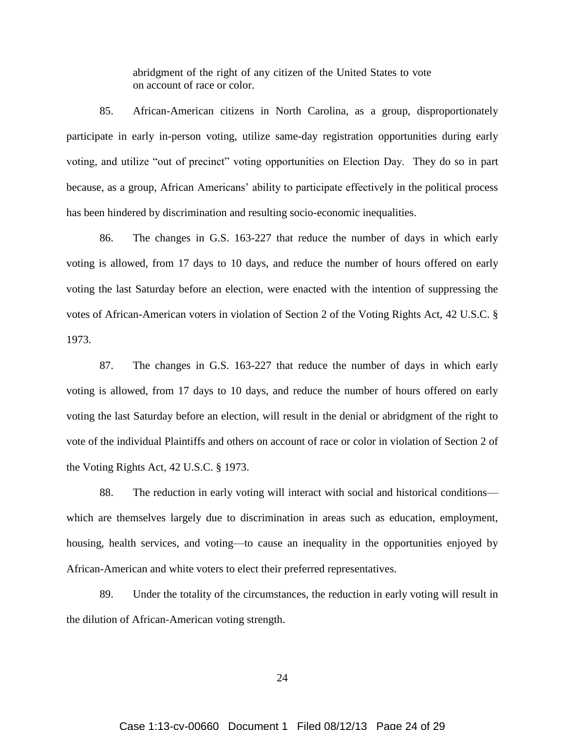abridgment of the right of any citizen of the United States to vote on account of race or color.

85. African-American citizens in North Carolina, as a group, disproportionately participate in early in-person voting, utilize same-day registration opportunities during early voting, and utilize "out of precinct" voting opportunities on Election Day. They do so in part because, as a group, African Americans' ability to participate effectively in the political process has been hindered by discrimination and resulting socio-economic inequalities.

86. The changes in G.S. 163-227 that reduce the number of days in which early voting is allowed, from 17 days to 10 days, and reduce the number of hours offered on early voting the last Saturday before an election, were enacted with the intention of suppressing the votes of African-American voters in violation of Section 2 of the Voting Rights Act, 42 U.S.C. § 1973.

87. The changes in G.S. 163-227 that reduce the number of days in which early voting is allowed, from 17 days to 10 days, and reduce the number of hours offered on early voting the last Saturday before an election, will result in the denial or abridgment of the right to vote of the individual Plaintiffs and others on account of race or color in violation of Section 2 of the Voting Rights Act, 42 U.S.C. § 1973.

88. The reduction in early voting will interact with social and historical conditions which are themselves largely due to discrimination in areas such as education, employment, housing, health services, and voting—to cause an inequality in the opportunities enjoyed by African-American and white voters to elect their preferred representatives.

89. Under the totality of the circumstances, the reduction in early voting will result in the dilution of African-American voting strength.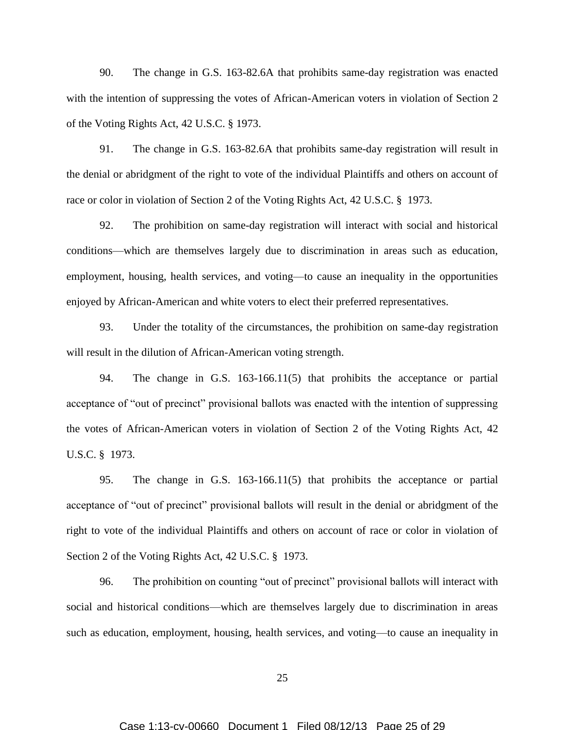90. The change in G.S. 163-82.6A that prohibits same-day registration was enacted with the intention of suppressing the votes of African-American voters in violation of Section 2 of the Voting Rights Act, 42 U.S.C. § 1973.

91. The change in G.S. 163-82.6A that prohibits same-day registration will result in the denial or abridgment of the right to vote of the individual Plaintiffs and others on account of race or color in violation of Section 2 of the Voting Rights Act, 42 U.S.C. § 1973.

92. The prohibition on same-day registration will interact with social and historical conditions—which are themselves largely due to discrimination in areas such as education, employment, housing, health services, and voting—to cause an inequality in the opportunities enjoyed by African-American and white voters to elect their preferred representatives.

93. Under the totality of the circumstances, the prohibition on same-day registration will result in the dilution of African-American voting strength.

94. The change in G.S. 163-166.11(5) that prohibits the acceptance or partial acceptance of "out of precinct" provisional ballots was enacted with the intention of suppressing the votes of African-American voters in violation of Section 2 of the Voting Rights Act, 42 U.S.C. § 1973.

95. The change in G.S. 163-166.11(5) that prohibits the acceptance or partial acceptance of "out of precinct" provisional ballots will result in the denial or abridgment of the right to vote of the individual Plaintiffs and others on account of race or color in violation of Section 2 of the Voting Rights Act, 42 U.S.C. § 1973.

96. The prohibition on counting "out of precinct" provisional ballots will interact with social and historical conditions—which are themselves largely due to discrimination in areas such as education, employment, housing, health services, and voting—to cause an inequality in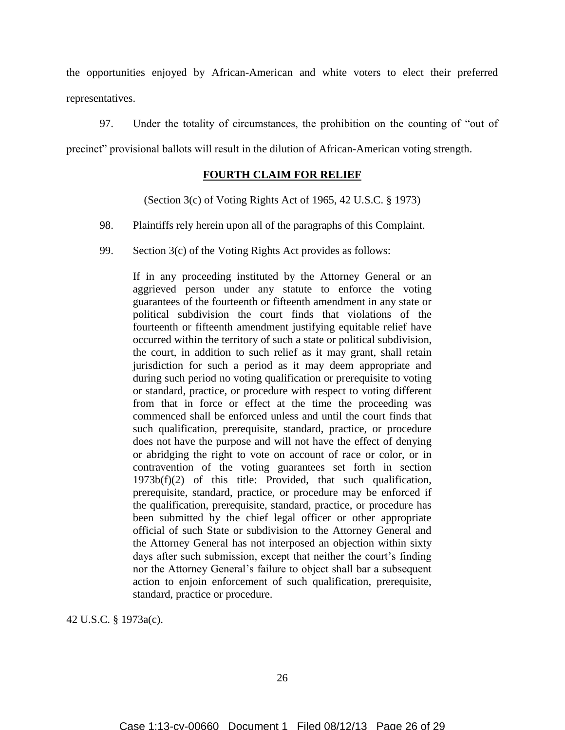the opportunities enjoyed by African-American and white voters to elect their preferred representatives.

97. Under the totality of circumstances, the prohibition on the counting of "out of

precinct" provisional ballots will result in the dilution of African-American voting strength.

# **FOURTH CLAIM FOR RELIEF**

(Section 3(c) of Voting Rights Act of 1965, 42 U.S.C. § 1973)

- 98. Plaintiffs rely herein upon all of the paragraphs of this Complaint.
- 99. Section 3(c) of the Voting Rights Act provides as follows:

If in any proceeding instituted by the Attorney General or an aggrieved person under any statute to enforce the voting guarantees of the fourteenth or fifteenth amendment in any state or political subdivision the court finds that violations of the fourteenth or fifteenth amendment justifying equitable relief have occurred within the territory of such a state or political subdivision, the court, in addition to such relief as it may grant, shall retain jurisdiction for such a period as it may deem appropriate and during such period no voting qualification or prerequisite to voting or standard, practice, or procedure with respect to voting different from that in force or effect at the time the proceeding was commenced shall be enforced unless and until the court finds that such qualification, prerequisite, standard, practice, or procedure does not have the purpose and will not have the effect of denying or abridging the right to vote on account of race or color, or in contravention of the voting guarantees set forth in section 1973b(f)(2) of this title: Provided, that such qualification, prerequisite, standard, practice, or procedure may be enforced if the qualification, prerequisite, standard, practice, or procedure has been submitted by the chief legal officer or other appropriate official of such State or subdivision to the Attorney General and the Attorney General has not interposed an objection within sixty days after such submission, except that neither the court's finding nor the Attorney General's failure to object shall bar a subsequent action to enjoin enforcement of such qualification, prerequisite, standard, practice or procedure.

42 U.S.C. § 1973a(c).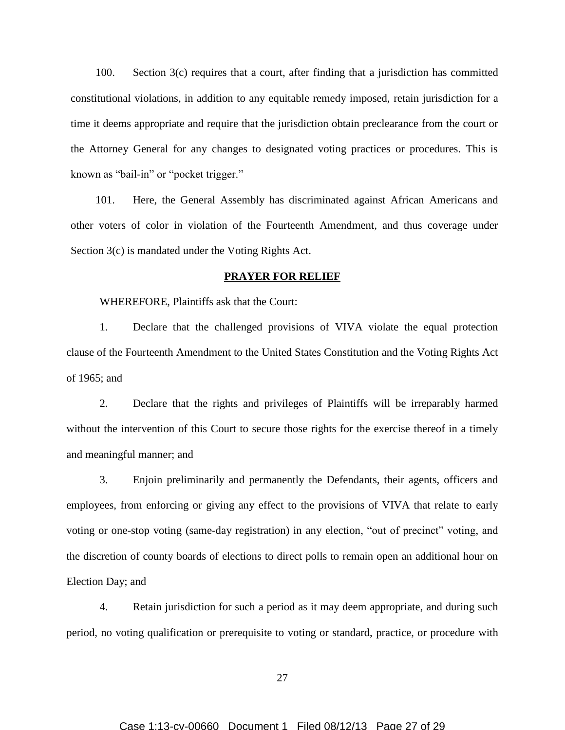100. Section 3(c) requires that a court, after finding that a jurisdiction has committed constitutional violations, in addition to any equitable remedy imposed, retain jurisdiction for a time it deems appropriate and require that the jurisdiction obtain preclearance from the court or the Attorney General for any changes to designated voting practices or procedures. This is known as "bail-in" or "pocket trigger."

101. Here, the General Assembly has discriminated against African Americans and other voters of color in violation of the Fourteenth Amendment, and thus coverage under Section 3(c) is mandated under the Voting Rights Act.

### **PRAYER FOR RELIEF**

WHEREFORE, Plaintiffs ask that the Court:

1. Declare that the challenged provisions of VIVA violate the equal protection clause of the Fourteenth Amendment to the United States Constitution and the Voting Rights Act of 1965; and

2. Declare that the rights and privileges of Plaintiffs will be irreparably harmed without the intervention of this Court to secure those rights for the exercise thereof in a timely and meaningful manner; and

3. Enjoin preliminarily and permanently the Defendants, their agents, officers and employees, from enforcing or giving any effect to the provisions of VIVA that relate to early voting or one-stop voting (same-day registration) in any election, "out of precinct" voting, and the discretion of county boards of elections to direct polls to remain open an additional hour on Election Day; and

4. Retain jurisdiction for such a period as it may deem appropriate, and during such period, no voting qualification or prerequisite to voting or standard, practice, or procedure with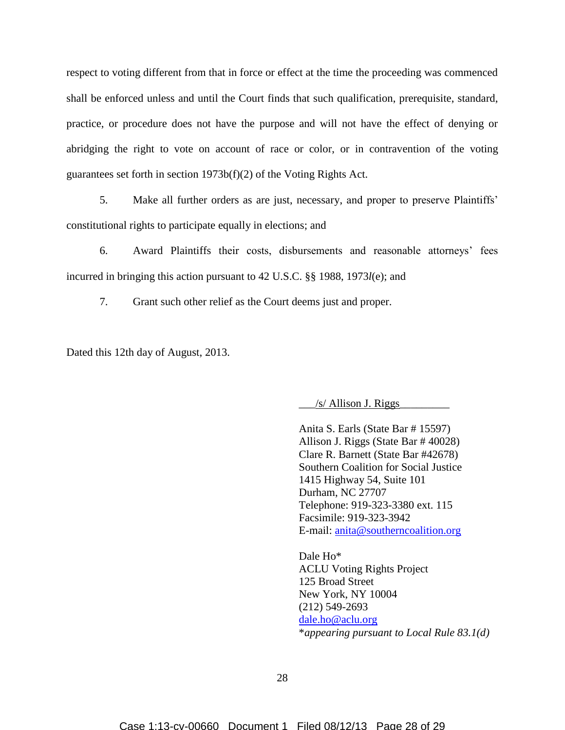respect to voting different from that in force or effect at the time the proceeding was commenced shall be enforced unless and until the Court finds that such qualification, prerequisite, standard, practice, or procedure does not have the purpose and will not have the effect of denying or abridging the right to vote on account of race or color, or in contravention of the voting guarantees set forth in section 1973b(f)(2) of the Voting Rights Act.

5. Make all further orders as are just, necessary, and proper to preserve Plaintiffs' constitutional rights to participate equally in elections; and

6. Award Plaintiffs their costs, disbursements and reasonable attorneys' fees incurred in bringing this action pursuant to 42 U.S.C. §§ 1988, 1973*l*(e); and

7. Grant such other relief as the Court deems just and proper.

Dated this 12th day of August, 2013.

## /s/ Allison J. Riggs

Anita S. Earls (State Bar # 15597) Allison J. Riggs (State Bar # 40028) Clare R. Barnett (State Bar #42678) Southern Coalition for Social Justice 1415 Highway 54, Suite 101 Durham, NC 27707 Telephone: 919-323-3380 ext. 115 Facsimile: 919-323-3942 E-mail: [anita@southerncoalition.org](mailto:anita@southerncoalition.org)

Dale Ho\* ACLU Voting Rights Project 125 Broad Street New York, NY 10004 (212) 549-2693 [dale.ho@aclu.org](mailto:dale.ho@aclu.org) \**appearing pursuant to Local Rule 83.1(d)*